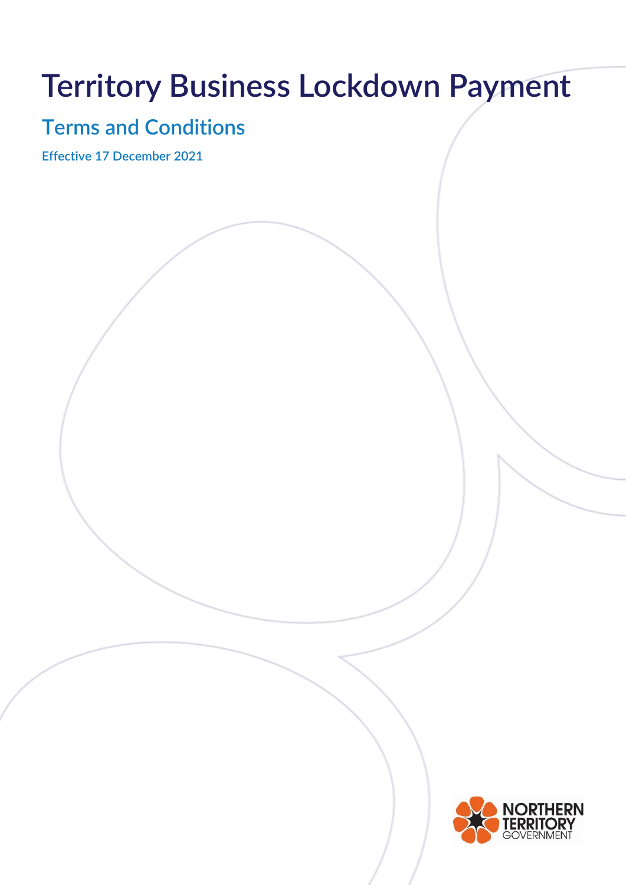# **Territory Business Lockdown Payment**

## **Terms and Conditions**

**Effective 17 December 2021**

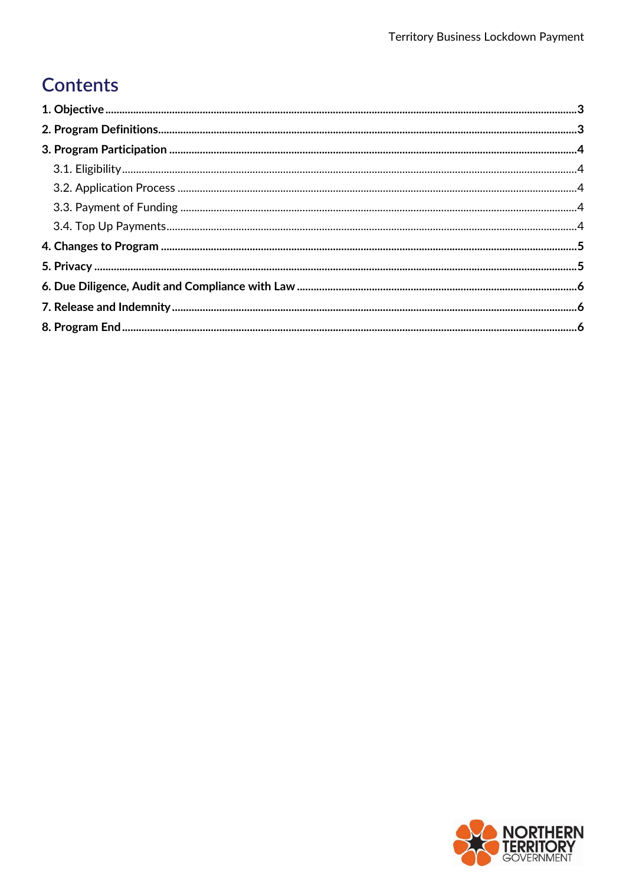## **Contents**

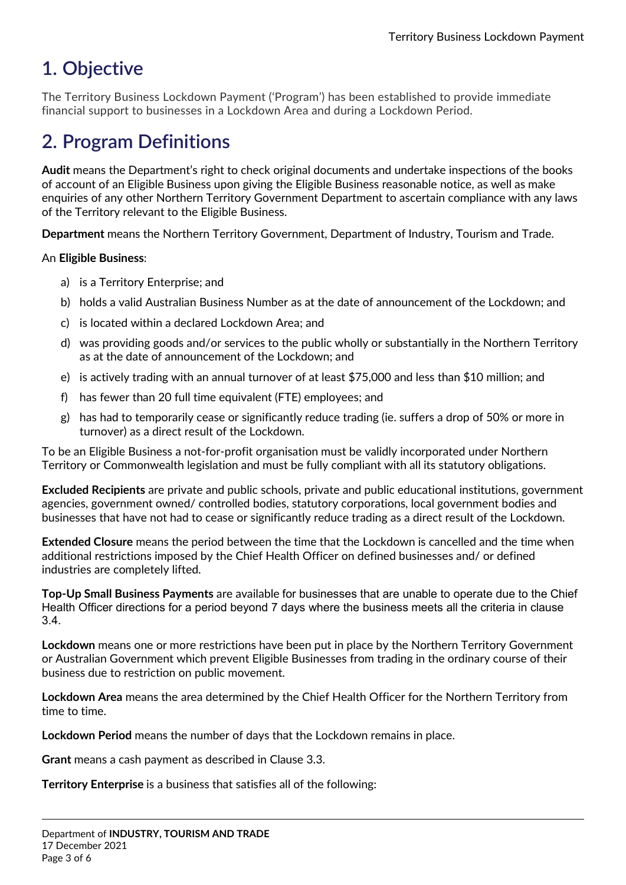## <span id="page-2-0"></span>**1. Objective**

The Territory Business Lockdown Payment ('Program') has been established to provide immediate financial support to businesses in a Lockdown Area and during a Lockdown Period.

## <span id="page-2-1"></span>**2. Program Definitions**

**Audit** means the Department's right to check original documents and undertake inspections of the books of account of an Eligible Business upon giving the Eligible Business reasonable notice, as well as make enquiries of any other Northern Territory Government Department to ascertain compliance with any laws of the Territory relevant to the Eligible Business.

**Department** means the Northern Territory Government, Department of Industry, Tourism and Trade.

#### An **Eligible Business**:

- a) is a Territory Enterprise; and
- b) holds a valid Australian Business Number as at the date of announcement of the Lockdown; and
- c) is located within a declared Lockdown Area; and
- d) was providing goods and/or services to the public wholly or substantially in the Northern Territory as at the date of announcement of the Lockdown; and
- e) is actively trading with an annual turnover of at least \$75,000 and less than \$10 million; and
- f) has fewer than 20 full time equivalent (FTE) employees; and
- g) has had to temporarily cease or significantly reduce trading (ie. suffers a drop of 50% or more in turnover) as a direct result of the Lockdown.

To be an Eligible Business a not-for-profit organisation must be validly incorporated under Northern Territory or Commonwealth legislation and must be fully compliant with all its statutory obligations.

**Excluded Recipients** are private and public schools, private and public educational institutions, government agencies, government owned/ controlled bodies, statutory corporations, local government bodies and businesses that have not had to cease or significantly reduce trading as a direct result of the Lockdown.

**Extended Closure** means the period between the time that the Lockdown is cancelled and the time when additional restrictions imposed by the Chief Health Officer on defined businesses and/ or defined industries are completely lifted.

**Top-Up Small Business Payments** are available for businesses that are unable to operate due to the Chief Health Officer directions for a period beyond 7 days where the business meets all the criteria in clause 3.4.

**Lockdown** means one or more restrictions have been put in place by the Northern Territory Government or Australian Government which prevent Eligible Businesses from trading in the ordinary course of their business due to restriction on public movement.

**Lockdown Area** means the area determined by the Chief Health Officer for the Northern Territory from time to time.

**Lockdown Period** means the number of days that the Lockdown remains in place.

**Grant** means a cash payment as described in Clause 3.3.

**Territory Enterprise** is a business that satisfies all of the following: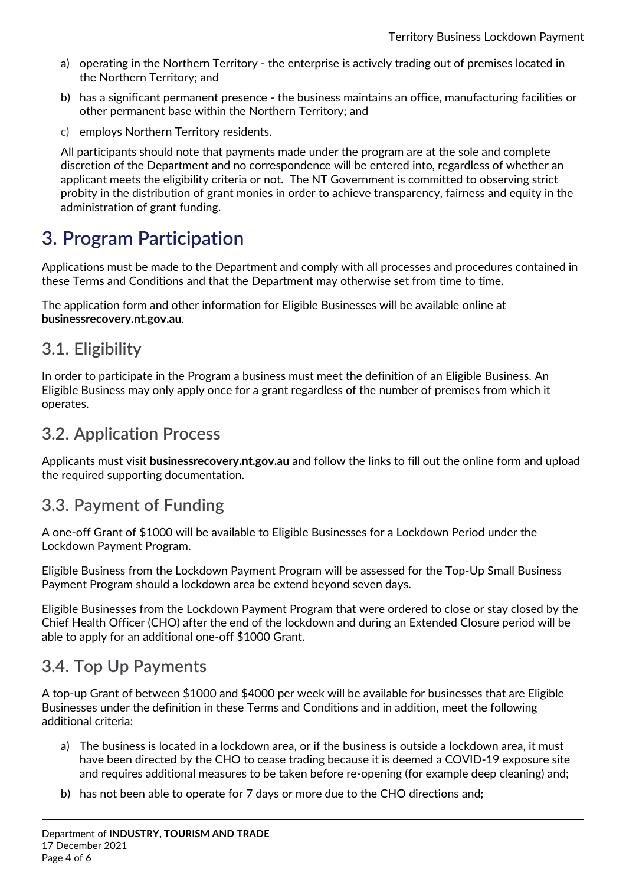- a) operating in the Northern Territory the enterprise is actively trading out of premises located in the Northern Territory; and
- b) has a significant permanent presence the business maintains an office, manufacturing facilities or other permanent base within the Northern Territory; and
- c) employs Northern Territory residents.

All participants should note that payments made under the program are at the sole and complete discretion of the Department and no correspondence will be entered into, regardless of whether an applicant meets the eligibility criteria or not. The NT Government is committed to observing strict probity in the distribution of grant monies in order to achieve transparency, fairness and equity in the administration of grant funding.

## <span id="page-3-0"></span>**3. Program Participation**

Applications must be made to the Department and comply with all processes and procedures contained in these Terms and Conditions and that the Department may otherwise set from time to time.

The application form and other information for Eligible Businesses will be available online at **businessrecovery.nt.gov.au**.

#### <span id="page-3-1"></span>**3.1. Eligibility**

In order to participate in the Program a business must meet the definition of an Eligible Business. An Eligible Business may only apply once for a grant regardless of the number of premises from which it operates.

#### <span id="page-3-2"></span>**3.2. Application Process**

Applicants must visit **businessrecovery.nt.gov.au** and follow the links to fill out the online form and upload the required supporting documentation.

### <span id="page-3-3"></span>**3.3. Payment of Funding**

A one-off Grant of \$1000 will be available to Eligible Businesses for a Lockdown Period under the Lockdown Payment Program.

Eligible Business from the Lockdown Payment Program will be assessed for the Top-Up Small Business Payment Program should a lockdown area be extend beyond seven days.

Eligible Businesses from the Lockdown Payment Program that were ordered to close or stay closed by the Chief Health Officer (CHO) after the end of the lockdown and during an Extended Closure period will be able to apply for an additional one-off \$1000 Grant.

### <span id="page-3-4"></span>**3.4. Top Up Payments**

A top-up Grant of between \$1000 and \$4000 per week will be available for businesses that are Eligible Businesses under the definition in these Terms and Conditions and in addition, meet the following additional criteria:

- a) The business is located in a lockdown area, or if the business is outside a lockdown area, it must have been directed by the CHO to cease trading because it is deemed a COVID-19 exposure site and requires additional measures to be taken before re-opening (for example deep cleaning) and;
- b) has not been able to operate for 7 days or more due to the CHO directions and;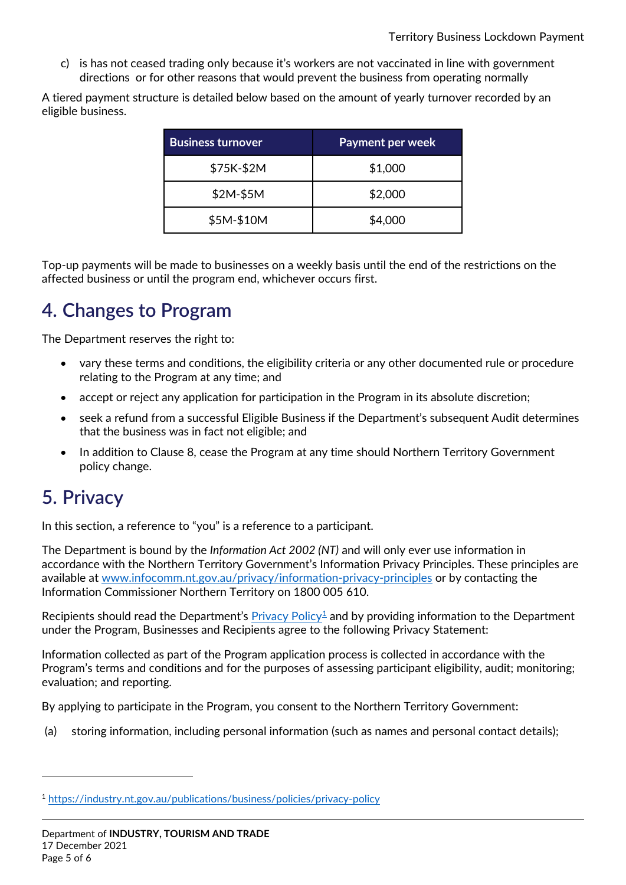c) is has not ceased trading only because it's workers are not vaccinated in line with government directions or for other reasons that would prevent the business from operating normally

A tiered payment structure is detailed below based on the amount of yearly turnover recorded by an eligible business.

| <b>Business turnover</b> | <b>Payment per week</b> |
|--------------------------|-------------------------|
| \$75K-\$2M               | \$1,000                 |
| \$2M-\$5M                | \$2,000                 |
| \$5M-\$10M               | \$4,000                 |

Top-up payments will be made to businesses on a weekly basis until the end of the restrictions on the affected business or until the program end, whichever occurs first.

## <span id="page-4-0"></span>**4. Changes to Program**

The Department reserves the right to:

- vary these terms and conditions, the eligibility criteria or any other documented rule or procedure relating to the Program at any time; and
- accept or reject any application for participation in the Program in its absolute discretion;
- seek a refund from a successful Eligible Business if the Department's subsequent Audit determines that the business was in fact not eligible; and
- In addition to Clause 8, cease the Program at any time should Northern Territory Government policy change.

## <span id="page-4-1"></span>**5. Privacy**

<u>.</u>

In this section, a reference to "you" is a reference to a participant.

The Department is bound by the *Information Act 2002 (NT)* and will only ever use information in accordance with the Northern Territory Government's Information Privacy Principles. These principles are available at [www.infocomm.nt.gov.au/privacy/information-privacy-principles](http://www.infocomm.nt.gov.au/privacy/information-privacy-principles) or by contacting the Information Commissioner Northern Territory on 1800 005 610.

Recipients should read the Department's [Privacy Policy](https://industry.nt.gov.au/publications/business/policies/privacy-policy)<sup>[1](#page-4-2)</sup> and by providing information to the Department under the Program, Businesses and Recipients agree to the following Privacy Statement:

Information collected as part of the Program application process is collected in accordance with the Program's terms and conditions and for the purposes of assessing participant eligibility, audit; monitoring; evaluation; and reporting.

By applying to participate in the Program, you consent to the Northern Territory Government:

(a) storing information, including personal information (such as names and personal contact details);

<span id="page-4-2"></span><sup>1</sup> <https://industry.nt.gov.au/publications/business/policies/privacy-policy>